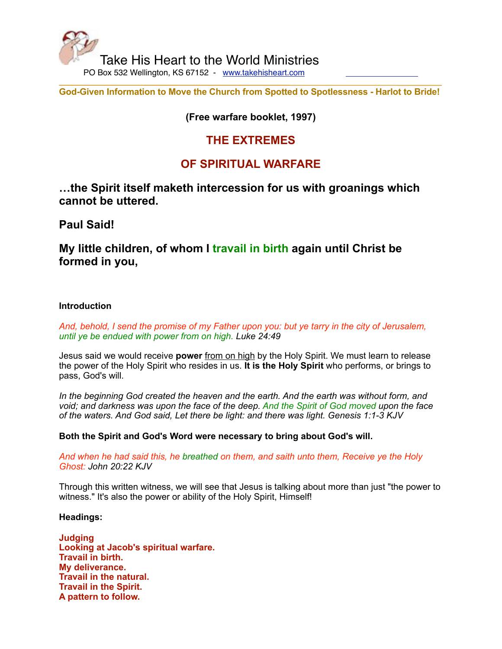

**God-Given Information to Move the Church from Spotted to Spotlessness - Harlot to Bride!**

## **(Free warfare booklet, 1997)**

## **THE EXTREMES**

# **OF SPIRITUAL WARFARE**

**…the Spirit itself maketh intercession for us with groanings which cannot be uttered.**

**Paul Said!**

**My little children, of whom I travail in birth again until Christ be formed in you,**

## **Introduction**

*And, behold, I send the promise of my Father upon you: but ye tarry in the city of Jerusalem, until ye be endued with power from on high. Luke 24:49*

Jesus said we would receive **power** from on high by the Holy Spirit. We must learn to release the power of the Holy Spirit who resides in us. **It is the Holy Spirit** who performs, or brings to pass, God's will.

*In the beginning God created the heaven and the earth. And the earth was without form, and void; and darkness was upon the face of the deep. And the Spirit of God moved upon the face of the waters. And God said, Let there be light: and there was light. Genesis 1:1-3 KJV*

**Both the Spirit and God's Word were necessary to bring about God's will.**

*And when he had said this, he breathed on them, and saith unto them, Receive ye the Holy Ghost: John 20:22 KJV*

Through this written witness, we will see that Jesus is talking about more than just "the power to witness." It's also the power or ability of the Holy Spirit, Himself!

## **Headings:**

**Judging Looking at Jacob's spiritual warfare. Travail in birth. My deliverance. Travail in the natural. Travail in the Spirit. A pattern to follow.**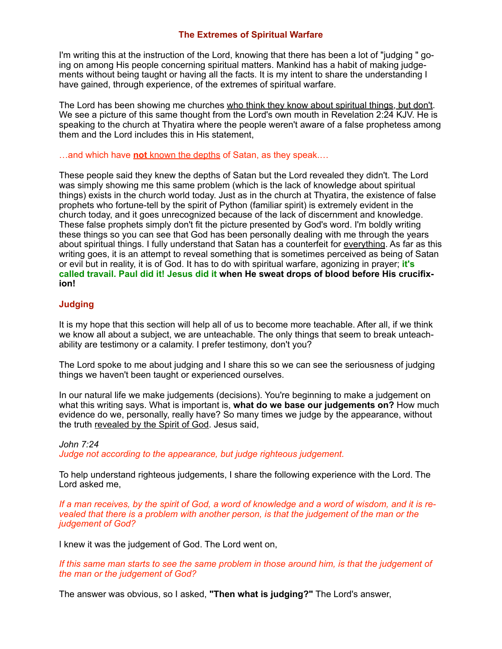## **The Extremes of Spiritual Warfare**

I'm writing this at the instruction of the Lord, knowing that there has been a lot of "judging " going on among His people concerning spiritual matters. Mankind has a habit of making judgements without being taught or having all the facts. It is my intent to share the understanding I have gained, through experience, of the extremes of spiritual warfare.

The Lord has been showing me churches who think they know about spiritual things, but don't. We see a picture of this same thought from the Lord's own mouth in Revelation 2:24 KJV. He is speaking to the church at Thyatira where the people weren't aware of a false prophetess among them and the Lord includes this in His statement,

…and which have **not** known the depths of Satan, as they speak.…

These people said they knew the depths of Satan but the Lord revealed they didn't. The Lord was simply showing me this same problem (which is the lack of knowledge about spiritual things) exists in the church world today. Just as in the church at Thyatira, the existence of false prophets who fortune-tell by the spirit of Python (familiar spirit) is extremely evident in the church today, and it goes unrecognized because of the lack of discernment and knowledge. These false prophets simply don't fit the picture presented by God's word. I'm boldly writing these things so you can see that God has been personally dealing with me through the years about spiritual things. I fully understand that Satan has a counterfeit for everything. As far as this writing goes, it is an attempt to reveal something that is sometimes perceived as being of Satan or evil but in reality, it is of God. It has to do with spiritual warfare, agonizing in prayer; **it's called travail. Paul did it! Jesus did it when He sweat drops of blood before His crucifixion!**

## **Judging**

It is my hope that this section will help all of us to become more teachable. After all, if we think we know all about a subject, we are unteachable. The only things that seem to break unteachability are testimony or a calamity. I prefer testimony, don't you?

The Lord spoke to me about judging and I share this so we can see the seriousness of judging things we haven't been taught or experienced ourselves.

In our natural life we make judgements (decisions). You're beginning to make a judgement on what this writing says. What is important is, **what do we base our judgements on?** How much evidence do we, personally, really have? So many times we judge by the appearance, without the truth revealed by the Spirit of God. Jesus said,

## *John 7:24*

*Judge not according to the appearance, but judge righteous judgement.*

To help understand righteous judgements, I share the following experience with the Lord. The Lord asked me,

*If a man receives, by the spirit of God, a word of knowledge and a word of wisdom, and it is revealed that there is a problem with another person, is that the judgement of the man or the judgement of God?*

I knew it was the judgement of God. The Lord went on,

*If this same man starts to see the same problem in those around him, is that the judgement of the man or the judgement of God?*

The answer was obvious, so I asked, **"Then what is judging?"** The Lord's answer,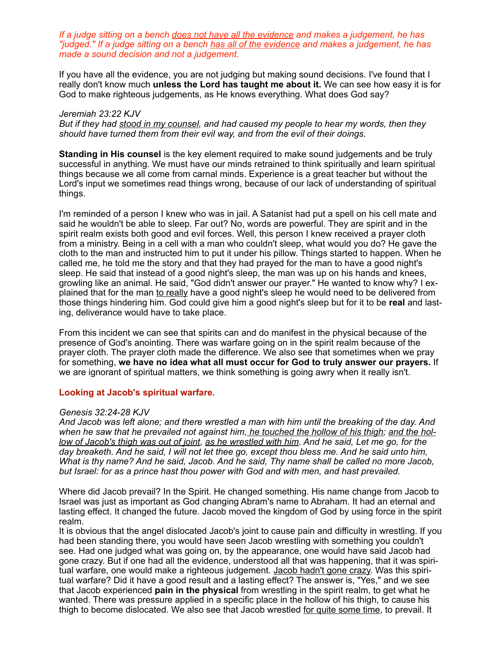*If a judge sitting on a bench does not have all the evidence and makes a judgement, he has "judged." If a judge sitting on a bench has all of the evidence and makes a judgement, he has made a sound decision and not a judgement.*

If you have all the evidence, you are not judging but making sound decisions. I've found that I really don't know much **unless the Lord has taught me about it.** We can see how easy it is for God to make righteous judgements, as He knows everything. What does God say?

#### *Jeremiah 23:22 KJV*

*But if they had stood in my counsel, and had caused my people to hear my words, then they should have turned them from their evil way, and from the evil of their doings.*

**Standing in His counsel** is the key element required to make sound judgements and be truly successful in anything. We must have our minds retrained to think spiritually and learn spiritual things because we all come from carnal minds. Experience is a great teacher but without the Lord's input we sometimes read things wrong, because of our lack of understanding of spiritual things.

I'm reminded of a person I knew who was in jail. A Satanist had put a spell on his cell mate and said he wouldn't be able to sleep. Far out? No, words are powerful. They are spirit and in the spirit realm exists both good and evil forces. Well, this person I knew received a prayer cloth from a ministry. Being in a cell with a man who couldn't sleep, what would you do? He gave the cloth to the man and instructed him to put it under his pillow. Things started to happen. When he called me, he told me the story and that they had prayed for the man to have a good night's sleep. He said that instead of a good night's sleep, the man was up on his hands and knees, growling like an animal. He said, "God didn't answer our prayer." He wanted to know why? I explained that for the man to really have a good night's sleep he would need to be delivered from those things hindering him. God could give him a good night's sleep but for it to be **real** and lasting, deliverance would have to take place.

From this incident we can see that spirits can and do manifest in the physical because of the presence of God's anointing. There was warfare going on in the spirit realm because of the prayer cloth. The prayer cloth made the difference. We also see that sometimes when we pray for something, **we have no idea what all must occur for God to truly answer our prayers.** If we are ignorant of spiritual matters, we think something is going awry when it really isn't.

#### **Looking at Jacob's spiritual warfare.**

#### *Genesis 32:24-28 KJV*

*And Jacob was left alone; and there wrestled a man with him until the breaking of the day. And when he saw that he prevailed not against him, he touched the hollow of his thigh; and the hol*low of Jacob's thigh was out of joint, as he wrestled with him. And he said, Let me go, for the *day breaketh. And he said, I will not let thee go, except thou bless me. And he said unto him, What is thy name? And he said, Jacob. And he said, Thy name shall be called no more Jacob, but Israel: for as a prince hast thou power with God and with men, and hast prevailed.*

Where did Jacob prevail? In the Spirit. He changed something. His name change from Jacob to Israel was just as important as God changing Abram's name to Abraham. It had an eternal and lasting effect. It changed the future. Jacob moved the kingdom of God by using force in the spirit realm.

It is obvious that the angel dislocated Jacob's joint to cause pain and difficulty in wrestling. If you had been standing there, you would have seen Jacob wrestling with something you couldn't see. Had one judged what was going on, by the appearance, one would have said Jacob had gone crazy. But if one had all the evidence, understood all that was happening, that it was spiritual warfare, one would make a righteous judgement. Jacob hadn't gone crazy. Was this spiritual warfare? Did it have a good result and a lasting effect? The answer is, "Yes," and we see that Jacob experienced **pain in the physical** from wrestling in the spirit realm, to get what he wanted. There was pressure applied in a specific place in the hollow of his thigh, to cause his thigh to become dislocated. We also see that Jacob wrestled for quite some time, to prevail. It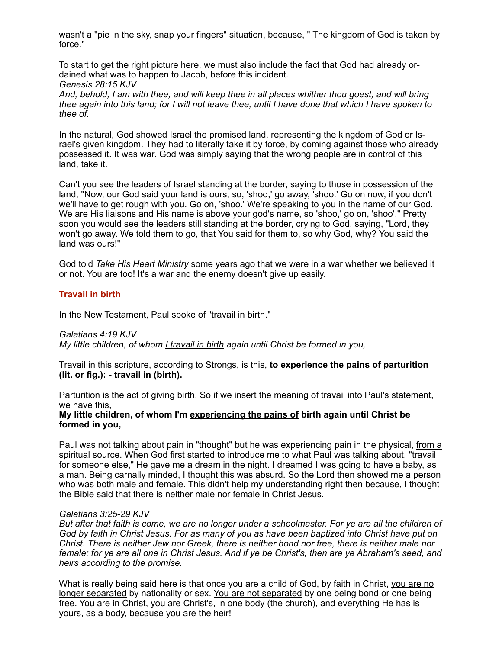wasn't a "pie in the sky, snap your fingers" situation, because, " The kingdom of God is taken by force."

To start to get the right picture here, we must also include the fact that God had already ordained what was to happen to Jacob, before this incident. *Genesis 28:15 KJV*

*And, behold, I am with thee, and will keep thee in all places whither thou goest, and will bring thee again into this land; for I will not leave thee, until I have done that which I have spoken to thee of.*

In the natural, God showed Israel the promised land, representing the kingdom of God or Israel's given kingdom. They had to literally take it by force, by coming against those who already possessed it. It was war. God was simply saying that the wrong people are in control of this land, take it.

Can't you see the leaders of Israel standing at the border, saying to those in possession of the land, "Now, our God said your land is ours, so, 'shoo,' go away, 'shoo.' Go on now, if you don't we'll have to get rough with you. Go on, 'shoo.' We're speaking to you in the name of our God. We are His liaisons and His name is above your god's name, so 'shoo,' go on, 'shoo'." Pretty soon you would see the leaders still standing at the border, crying to God, saying, "Lord, they won't go away. We told them to go, that You said for them to, so why God, why? You said the land was ours!"

God told *Take His Heart Ministry* some years ago that we were in a war whether we believed it or not. You are too! It's a war and the enemy doesn't give up easily.

#### **Travail in birth**

In the New Testament, Paul spoke of "travail in birth."

#### *Galatians 4:19 KJV*

*My little children, of whom I travail in birth again until Christ be formed in you,*

Travail in this scripture, according to Strongs, is this, **to experience the pains of parturition (lit. or fig.): - travail in (birth).**

Parturition is the act of giving birth. So if we insert the meaning of travail into Paul's statement, we have this,

#### **My little children, of whom I'm experiencing the pains of birth again until Christ be formed in you,**

Paul was not talking about pain in "thought" but he was experiencing pain in the physical, from a spiritual source. When God first started to introduce me to what Paul was talking about, "travail for someone else," He gave me a dream in the night. I dreamed I was going to have a baby, as a man. Being carnally minded, I thought this was absurd. So the Lord then showed me a person who was both male and female. This didn't help my understanding right then because, I thought the Bible said that there is neither male nor female in Christ Jesus.

#### *Galatians 3:25-29 KJV*

*But after that faith is come, we are no longer under a schoolmaster. For ye are all the children of God by faith in Christ Jesus. For as many of you as have been baptized into Christ have put on Christ. There is neither Jew nor Greek, there is neither bond nor free, there is neither male nor female: for ye are all one in Christ Jesus. And if ye be Christ's, then are ye Abraham's seed, and heirs according to the promise.*

What is really being said here is that once you are a child of God, by faith in Christ, you are no longer separated by nationality or sex. You are not separated by one being bond or one being free. You are in Christ, you are Christ's, in one body (the church), and everything He has is yours, as a body, because you are the heir!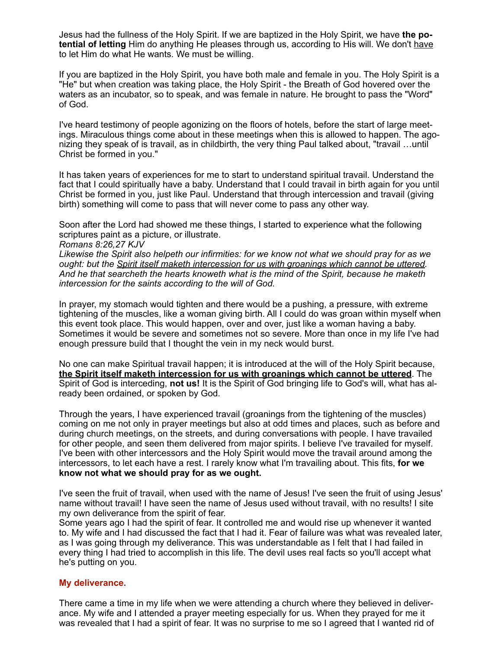Jesus had the fullness of the Holy Spirit. If we are baptized in the Holy Spirit, we have **the potential of letting** Him do anything He pleases through us, according to His will. We don't have to let Him do what He wants. We must be willing.

If you are baptized in the Holy Spirit, you have both male and female in you. The Holy Spirit is a "He" but when creation was taking place, the Holy Spirit - the Breath of God hovered over the waters as an incubator, so to speak, and was female in nature. He brought to pass the "Word" of God.

I've heard testimony of people agonizing on the floors of hotels, before the start of large meetings. Miraculous things come about in these meetings when this is allowed to happen. The agonizing they speak of is travail, as in childbirth, the very thing Paul talked about, "travail …until Christ be formed in you."

It has taken years of experiences for me to start to understand spiritual travail. Understand the fact that I could spiritually have a baby. Understand that I could travail in birth again for you until Christ be formed in you, just like Paul. Understand that through intercession and travail (giving birth) something will come to pass that will never come to pass any other way.

Soon after the Lord had showed me these things, I started to experience what the following scriptures paint as a picture, or illustrate.

*Romans 8:26,27 KJV*

*Likewise the Spirit also helpeth our infirmities: for we know not what we should pray for as we ought: but the Spirit itself maketh intercession for us with groanings which cannot be uttered. And he that searcheth the hearts knoweth what is the mind of the Spirit, because he maketh intercession for the saints according to the will of God.*

In prayer, my stomach would tighten and there would be a pushing, a pressure, with extreme tightening of the muscles, like a woman giving birth. All I could do was groan within myself when this event took place. This would happen, over and over, just like a woman having a baby. Sometimes it would be severe and sometimes not so severe. More than once in my life I've had enough pressure build that I thought the vein in my neck would burst.

No one can make Spiritual travail happen; it is introduced at the will of the Holy Spirit because, **the Spirit itself maketh intercession for us with groanings which cannot be uttered**. The Spirit of God is interceding, **not us!** It is the Spirit of God bringing life to God's will, what has already been ordained, or spoken by God.

Through the years, I have experienced travail (groanings from the tightening of the muscles) coming on me not only in prayer meetings but also at odd times and places, such as before and during church meetings, on the streets, and during conversations with people. I have travailed for other people, and seen them delivered from major spirits. I believe I've travailed for myself. I've been with other intercessors and the Holy Spirit would move the travail around among the intercessors, to let each have a rest. I rarely know what I'm travailing about. This fits, **for we know not what we should pray for as we ought.**

I've seen the fruit of travail, when used with the name of Jesus! I've seen the fruit of using Jesus' name without travail! I have seen the name of Jesus used without travail, with no results! I site my own deliverance from the spirit of fear.

Some years ago I had the spirit of fear. It controlled me and would rise up whenever it wanted to. My wife and I had discussed the fact that I had it. Fear of failure was what was revealed later, as I was going through my deliverance. This was understandable as I felt that I had failed in every thing I had tried to accomplish in this life. The devil uses real facts so you'll accept what he's putting on you.

#### **My deliverance.**

There came a time in my life when we were attending a church where they believed in deliverance. My wife and I attended a prayer meeting especially for us. When they prayed for me it was revealed that I had a spirit of fear. It was no surprise to me so I agreed that I wanted rid of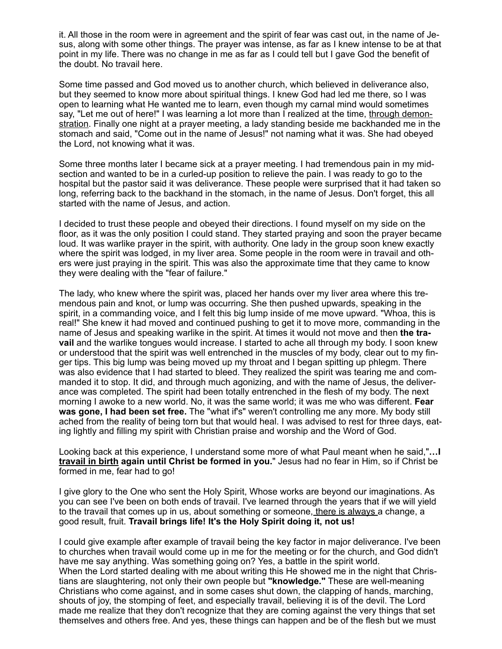it. All those in the room were in agreement and the spirit of fear was cast out, in the name of Jesus, along with some other things. The prayer was intense, as far as I knew intense to be at that point in my life. There was no change in me as far as I could tell but I gave God the benefit of the doubt. No travail here.

Some time passed and God moved us to another church, which believed in deliverance also, but they seemed to know more about spiritual things. I knew God had led me there, so I was open to learning what He wanted me to learn, even though my carnal mind would sometimes say, "Let me out of here!" I was learning a lot more than I realized at the time, through demonstration. Finally one night at a prayer meeting, a lady standing beside me backhanded me in the stomach and said, "Come out in the name of Jesus!" not naming what it was. She had obeyed the Lord, not knowing what it was.

Some three months later I became sick at a prayer meeting. I had tremendous pain in my midsection and wanted to be in a curled-up position to relieve the pain. I was ready to go to the hospital but the pastor said it was deliverance. These people were surprised that it had taken so long, referring back to the backhand in the stomach, in the name of Jesus. Don't forget, this all started with the name of Jesus, and action.

I decided to trust these people and obeyed their directions. I found myself on my side on the floor, as it was the only position I could stand. They started praying and soon the prayer became loud. It was warlike prayer in the spirit, with authority. One lady in the group soon knew exactly where the spirit was lodged, in my liver area. Some people in the room were in travail and others were just praying in the spirit. This was also the approximate time that they came to know they were dealing with the "fear of failure."

The lady, who knew where the spirit was, placed her hands over my liver area where this tremendous pain and knot, or lump was occurring. She then pushed upwards, speaking in the spirit, in a commanding voice, and I felt this big lump inside of me move upward. "Whoa, this is real!" She knew it had moved and continued pushing to get it to move more, commanding in the name of Jesus and speaking warlike in the spirit. At times it would not move and then **the travail** and the warlike tongues would increase. I started to ache all through my body. I soon knew or understood that the spirit was well entrenched in the muscles of my body, clear out to my finger tips. This big lump was being moved up my throat and I began spitting up phlegm. There was also evidence that I had started to bleed. They realized the spirit was tearing me and commanded it to stop. It did, and through much agonizing, and with the name of Jesus, the deliverance was completed. The spirit had been totally entrenched in the flesh of my body. The next morning I awoke to a new world. No, it was the same world; it was me who was different. **Fear**  was gone, I had been set free. The "what if's" weren't controlling me any more. My body still ached from the reality of being torn but that would heal. I was advised to rest for three days, eating lightly and filling my spirit with Christian praise and worship and the Word of God.

Looking back at this experience, I understand some more of what Paul meant when he said,"**…I travail in birth again until Christ be formed in you.**" Jesus had no fear in Him, so if Christ be formed in me, fear had to go!

I give glory to the One who sent the Holy Spirit, Whose works are beyond our imaginations. As you can see I've been on both ends of travail. I've learned through the years that if we will yield to the travail that comes up in us, about something or someone, there is always a change, a good result, fruit. **Travail brings life! It's the Holy Spirit doing it, not us!**

I could give example after example of travail being the key factor in major deliverance. I've been to churches when travail would come up in me for the meeting or for the church, and God didn't have me say anything. Was something going on? Yes, a battle in the spirit world. When the Lord started dealing with me about writing this He showed me in the night that Christians are slaughtering, not only their own people but **"knowledge."** These are well-meaning Christians who come against, and in some cases shut down, the clapping of hands, marching, shouts of joy, the stomping of feet, and especially travail, believing it is of the devil. The Lord made me realize that they don't recognize that they are coming against the very things that set themselves and others free. And yes, these things can happen and be of the flesh but we must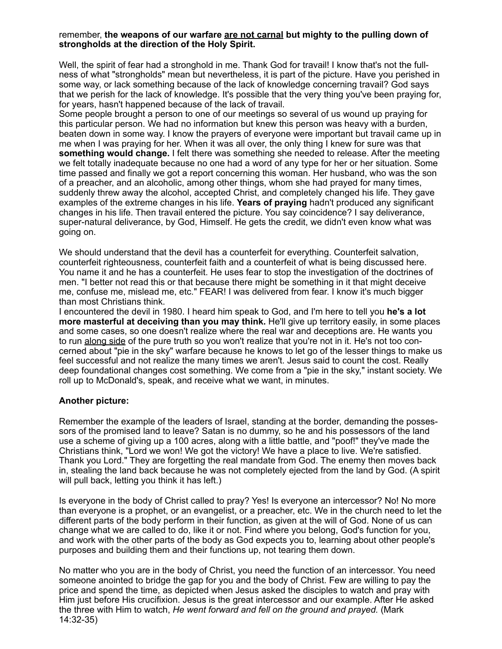#### remember, **the weapons of our warfare are not carnal but mighty to the pulling down of strongholds at the direction of the Holy Spirit.**

Well, the spirit of fear had a stronghold in me. Thank God for travail! I know that's not the fullness of what "strongholds" mean but nevertheless, it is part of the picture. Have you perished in some way, or lack something because of the lack of knowledge concerning travail? God says that we perish for the lack of knowledge. It's possible that the very thing you've been praying for, for years, hasn't happened because of the lack of travail.

Some people brought a person to one of our meetings so several of us wound up praying for this particular person. We had no information but knew this person was heavy with a burden, beaten down in some way. I know the prayers of everyone were important but travail came up in me when I was praying for her. When it was all over, the only thing I knew for sure was that **something would change.** I felt there was something she needed to release. After the meeting we felt totally inadequate because no one had a word of any type for her or her situation. Some time passed and finally we got a report concerning this woman. Her husband, who was the son of a preacher, and an alcoholic, among other things, whom she had prayed for many times, suddenly threw away the alcohol, accepted Christ, and completely changed his life. They gave examples of the extreme changes in his life. **Years of praying** hadn't produced any significant changes in his life. Then travail entered the picture. You say coincidence? I say deliverance, super-natural deliverance, by God, Himself. He gets the credit, we didn't even know what was going on.

We should understand that the devil has a counterfeit for everything. Counterfeit salvation, counterfeit righteousness, counterfeit faith and a counterfeit of what is being discussed here. You name it and he has a counterfeit. He uses fear to stop the investigation of the doctrines of men. "I better not read this or that because there might be something in it that might deceive me, confuse me, mislead me, etc." FEAR! I was delivered from fear. I know it's much bigger than most Christians think.

I encountered the devil in 1980. I heard him speak to God, and I'm here to tell you **he's a lot more masterful at deceiving than you may think.** He'll give up territory easily, in some places and some cases, so one doesn't realize where the real war and deceptions are. He wants you to run along side of the pure truth so you won't realize that you're not in it. He's not too concerned about "pie in the sky" warfare because he knows to let go of the lesser things to make us feel successful and not realize the many times we aren't. Jesus said to count the cost. Really deep foundational changes cost something. We come from a "pie in the sky," instant society. We roll up to McDonald's, speak, and receive what we want, in minutes.

## **Another picture:**

Remember the example of the leaders of Israel, standing at the border, demanding the possessors of the promised land to leave? Satan is no dummy, so he and his possessors of the land use a scheme of giving up a 100 acres, along with a little battle, and "poof!" they've made the Christians think, "Lord we won! We got the victory! We have a place to live. We're satisfied. Thank you Lord." They are forgetting the real mandate from God. The enemy then moves back in, stealing the land back because he was not completely ejected from the land by God. (A spirit will pull back, letting you think it has left.)

Is everyone in the body of Christ called to pray? Yes! Is everyone an intercessor? No! No more than everyone is a prophet, or an evangelist, or a preacher, etc. We in the church need to let the different parts of the body perform in their function, as given at the will of God. None of us can change what we are called to do, like it or not. Find where you belong, God's function for you, and work with the other parts of the body as God expects you to, learning about other people's purposes and building them and their functions up, not tearing them down.

No matter who you are in the body of Christ, you need the function of an intercessor. You need someone anointed to bridge the gap for you and the body of Christ. Few are willing to pay the price and spend the time, as depicted when Jesus asked the disciples to watch and pray with Him just before His crucifixion. Jesus is the great intercessor and our example. After He asked the three with Him to watch, *He went forward and fell on the ground and prayed.* (Mark 14:32-35)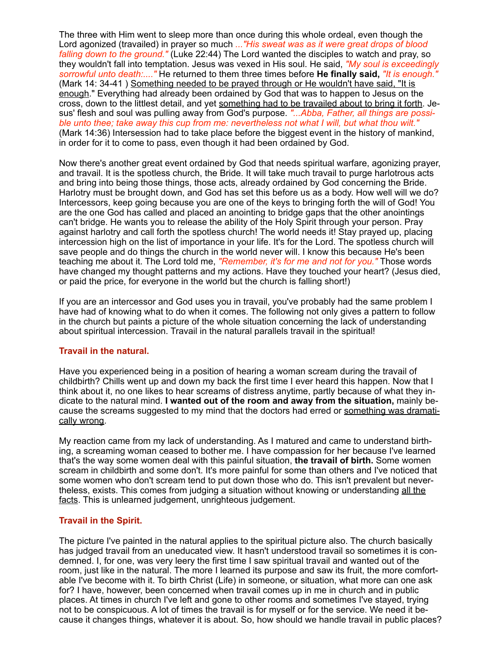The three with Him went to sleep more than once during this whole ordeal, even though the Lord agonized (travailed) in prayer so much *..."His sweat was as it were great drops of blood falling down to the ground."* (Luke 22:44) The Lord wanted the disciples to watch and pray, so they wouldn't fall into temptation. Jesus was vexed in His soul. He said, *"My soul is exceedingly sorrowful unto death:...."* He returned to them three times before **He finally said,** *"It is enough."* (Mark 14: 34-41 ) Something needed to be prayed through or He wouldn't have said, "It is enough." Everything had already been ordained by God that was to happen to Jesus on the cross, down to the littlest detail, and yet something had to be travailed about to bring it forth. Jesus' flesh and soul was pulling away from God's purpose. *"...Abba, Father, all things are possible unto thee; take away this cup from me: nevertheless not what I will, but what thou wilt."* (Mark 14:36) Intersession had to take place before the biggest event in the history of mankind, in order for it to come to pass, even though it had been ordained by God.

Now there's another great event ordained by God that needs spiritual warfare, agonizing prayer, and travail. It is the spotless church, the Bride. It will take much travail to purge harlotrous acts and bring into being those things, those acts, already ordained by God concerning the Bride. Harlotry must be brought down, and God has set this before us as a body. How well will we do? Intercessors, keep going because you are one of the keys to bringing forth the will of God! You are the one God has called and placed an anointing to bridge gaps that the other anointings can't bridge. He wants you to release the ability of the Holy Spirit through your person. Pray against harlotry and call forth the spotless church! The world needs it! Stay prayed up, placing intercession high on the list of importance in your life. It's for the Lord. The spotless church will save people and do things the church in the world never will. I know this because He's been teaching me about it. The Lord told me, *"Remember, it's for me and not for you."* Those words have changed my thought patterns and my actions. Have they touched your heart? (Jesus died, or paid the price, for everyone in the world but the church is falling short!)

If you are an intercessor and God uses you in travail, you've probably had the same problem I have had of knowing what to do when it comes. The following not only gives a pattern to follow in the church but paints a picture of the whole situation concerning the lack of understanding about spiritual intercession. Travail in the natural parallels travail in the spiritual!

#### **Travail in the natural.**

Have you experienced being in a position of hearing a woman scream during the travail of childbirth? Chills went up and down my back the first time I ever heard this happen. Now that I think about it, no one likes to hear screams of distress anytime, partly because of what they indicate to the natural mind. **I wanted out of the room and away from the situation,** mainly because the screams suggested to my mind that the doctors had erred or something was dramatically wrong.

My reaction came from my lack of understanding. As I matured and came to understand birthing, a screaming woman ceased to bother me. I have compassion for her because I've learned that's the way some women deal with this painful situation, **the travail of birth.** Some women scream in childbirth and some don't. It's more painful for some than others and I've noticed that some women who don't scream tend to put down those who do. This isn't prevalent but nevertheless, exists. This comes from judging a situation without knowing or understanding all the facts. This is unlearned judgement, unrighteous judgement.

#### **Travail in the Spirit.**

The picture I've painted in the natural applies to the spiritual picture also. The church basically has judged travail from an uneducated view. It hasn't understood travail so sometimes it is condemned. I, for one, was very leery the first time I saw spiritual travail and wanted out of the room, just like in the natural. The more I learned its purpose and saw its fruit, the more comfortable I've become with it. To birth Christ (Life) in someone, or situation, what more can one ask for? I have, however, been concerned when travail comes up in me in church and in public places. At times in church I've left and gone to other rooms and sometimes I've stayed, trying not to be conspicuous. A lot of times the travail is for myself or for the service. We need it because it changes things, whatever it is about. So, how should we handle travail in public places?